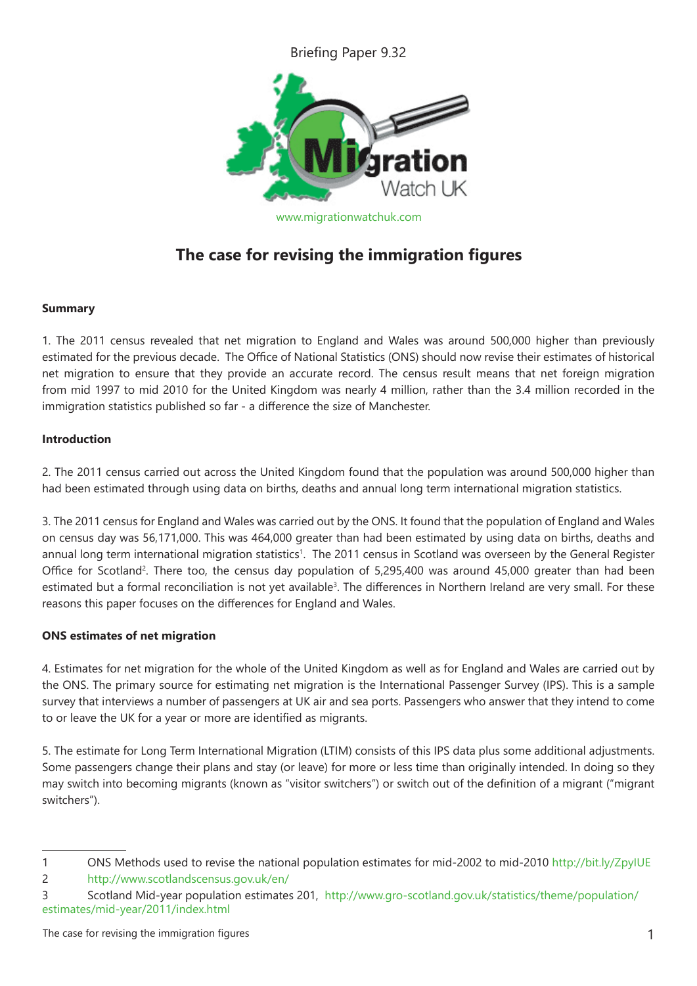Briefing Paper 9.32



# **The case for revising the immigration figures**

## **Summary**

1. The 2011 census revealed that net migration to England and Wales was around 500,000 higher than previously estimated for the previous decade. The Office of National Statistics (ONS) should now revise their estimates of historical net migration to ensure that they provide an accurate record. The census result means that net foreign migration from mid 1997 to mid 2010 for the United Kingdom was nearly 4 million, rather than the 3.4 million recorded in the immigration statistics published so far - a difference the size of Manchester.

## **Introduction**

2. The 2011 census carried out across the United Kingdom found that the population was around 500,000 higher than had been estimated through using data on births, deaths and annual long term international migration statistics.

3. The 2011 census for England and Wales was carried out by the ONS. It found that the population of England and Wales on census day was 56,171,000. This was 464,000 greater than had been estimated by using data on births, deaths and annual long term international migration statistics<sup>1</sup>. The 2011 census in Scotland was overseen by the General Register Office for Scotland<sup>2</sup>. There too, the census day population of 5,295,400 was around 45,000 greater than had been estimated but a formal reconciliation is not yet available<sup>3</sup>. The differences in Northern Ireland are very small. For these reasons this paper focuses on the differences for England and Wales.

## **ONS estimates of net migration**

4. Estimates for net migration for the whole of the United Kingdom as well as for England and Wales are carried out by the ONS. The primary source for estimating net migration is the International Passenger Survey (IPS). This is a sample survey that interviews a number of passengers at UK air and sea ports. Passengers who answer that they intend to come to or leave the UK for a year or more are identified as migrants.

5. The estimate for Long Term International Migration (LTIM) consists of this IPS data plus some additional adjustments. Some passengers change their plans and stay (or leave) for more or less time than originally intended. In doing so they may switch into becoming migrants (known as "visitor switchers") or switch out of the definition of a migrant ("migrant switchers").

<sup>1</sup> ONS Methods used to revise the national population estimates for mid-2002 to mid-2010 http://bit.ly/ZpyIUE

<sup>2</sup> http://www.scotlandscensus.gov.uk/en/

<sup>3</sup> Scotland Mid-year population estimates 201, http://www.gro-scotland.gov.uk/statistics/theme/population/ estimates/mid-year/2011/index.html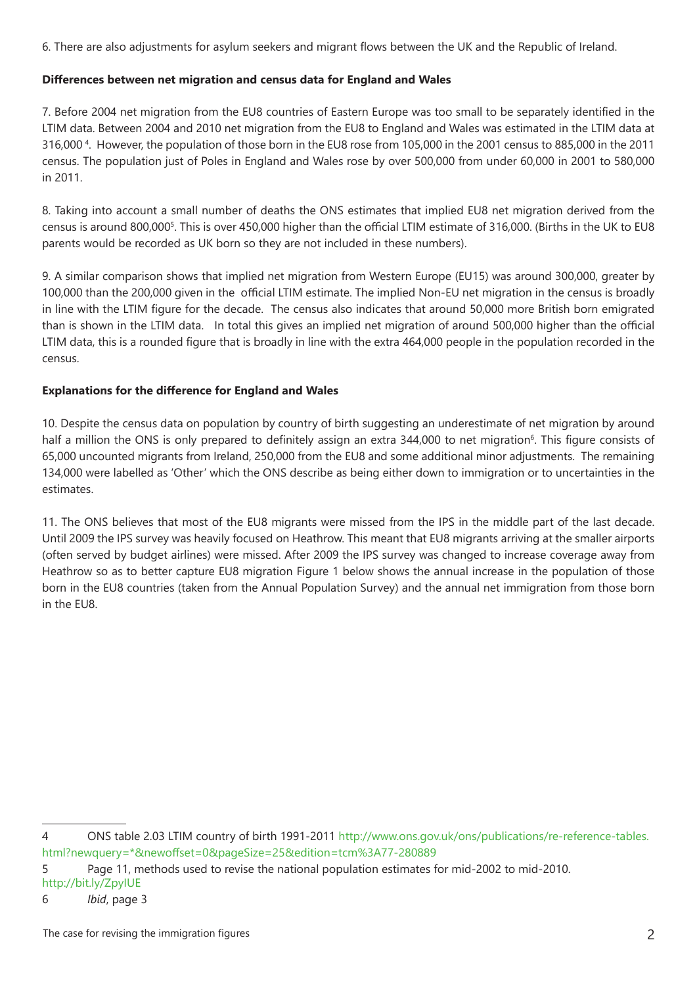6. There are also adjustments for asylum seekers and migrant flows between the UK and the Republic of Ireland.

#### **Differences between net migration and census data for England and Wales**

7. Before 2004 net migration from the EU8 countries of Eastern Europe was too small to be separately identified in the LTIM data. Between 2004 and 2010 net migration from the EU8 to England and Wales was estimated in the LTIM data at 316,000 4 . However, the population of those born in the EU8 rose from 105,000 in the 2001 census to 885,000 in the 2011 census. The population just of Poles in England and Wales rose by over 500,000 from under 60,000 in 2001 to 580,000 in 2011.

8. Taking into account a small number of deaths the ONS estimates that implied EU8 net migration derived from the census is around 800,000<sup>5</sup>. This is over 450,000 higher than the official LTIM estimate of 316,000. (Births in the UK to EU8 parents would be recorded as UK born so they are not included in these numbers).

9. A similar comparison shows that implied net migration from Western Europe (EU15) was around 300,000, greater by 100,000 than the 200,000 given in the official LTIM estimate. The implied Non-EU net migration in the census is broadly in line with the LTIM figure for the decade. The census also indicates that around 50,000 more British born emigrated than is shown in the LTIM data. In total this gives an implied net migration of around 500,000 higher than the official LTIM data, this is a rounded figure that is broadly in line with the extra 464,000 people in the population recorded in the census.

#### **Explanations for the difference for England and Wales**

10. Despite the census data on population by country of birth suggesting an underestimate of net migration by around half a million the ONS is only prepared to definitely assign an extra 344,000 to net migration<sup>6</sup>. This figure consists of 65,000 uncounted migrants from Ireland, 250,000 from the EU8 and some additional minor adjustments. The remaining 134,000 were labelled as 'Other' which the ONS describe as being either down to immigration or to uncertainties in the estimates.

11. The ONS believes that most of the EU8 migrants were missed from the IPS in the middle part of the last decade. Until 2009 the IPS survey was heavily focused on Heathrow. This meant that EU8 migrants arriving at the smaller airports (often served by budget airlines) were missed. After 2009 the IPS survey was changed to increase coverage away from Heathrow so as to better capture EU8 migration Figure 1 below shows the annual increase in the population of those born in the EU8 countries (taken from the Annual Population Survey) and the annual net immigration from those born in the EU8.

<sup>4</sup> ONS table 2.03 LTIM country of birth 1991-2011 http://www.ons.gov.uk/ons/publications/re-reference-tables. html?newquery=\*&newoffset=0&pageSize=25&edition=tcm%3A77-280889

<sup>5</sup> Page 11, methods used to revise the national population estimates for mid-2002 to mid-2010. http://bit.ly/ZpyIUE

<sup>6</sup> *Ibid*, page 3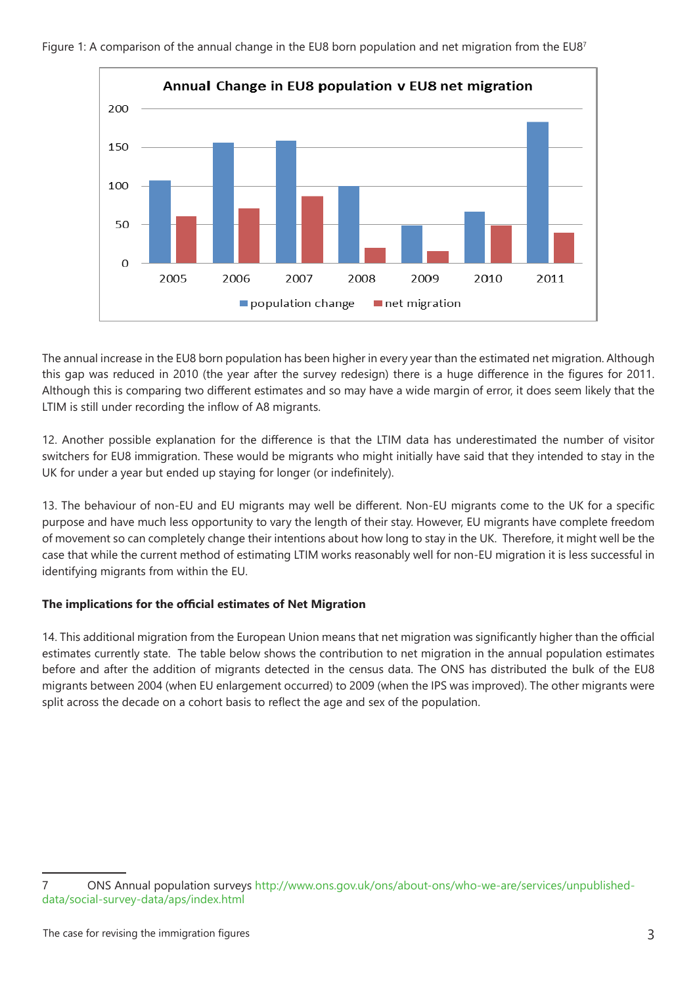

Figure 1: A comparison of the annual change in the EU8 born population and net migration from the EU87

The annual increase in the EU8 born population has been higher in every year than the estimated net migration. Although this gap was reduced in 2010 (the year after the survey redesign) there is a huge difference in the figures for 2011. Although this is comparing two different estimates and so may have a wide margin of error, it does seem likely that the LTIM is still under recording the inflow of A8 migrants.

12. Another possible explanation for the difference is that the LTIM data has underestimated the number of visitor switchers for EU8 immigration. These would be migrants who might initially have said that they intended to stay in the UK for under a year but ended up staying for longer (or indefinitely).

13. The behaviour of non-EU and EU migrants may well be different. Non-EU migrants come to the UK for a specific purpose and have much less opportunity to vary the length of their stay. However, EU migrants have complete freedom of movement so can completely change their intentions about how long to stay in the UK. Therefore, it might well be the case that while the current method of estimating LTIM works reasonably well for non-EU migration it is less successful in identifying migrants from within the EU.

## **The implications for the official estimates of Net Migration**

14. This additional migration from the European Union means that net migration was significantly higher than the official estimates currently state. The table below shows the contribution to net migration in the annual population estimates before and after the addition of migrants detected in the census data. The ONS has distributed the bulk of the EU8 migrants between 2004 (when EU enlargement occurred) to 2009 (when the IPS was improved). The other migrants were split across the decade on a cohort basis to reflect the age and sex of the population.

<sup>7</sup> ONS Annual population surveys http://www.ons.gov.uk/ons/about-ons/who-we-are/services/unpublisheddata/social-survey-data/aps/index.html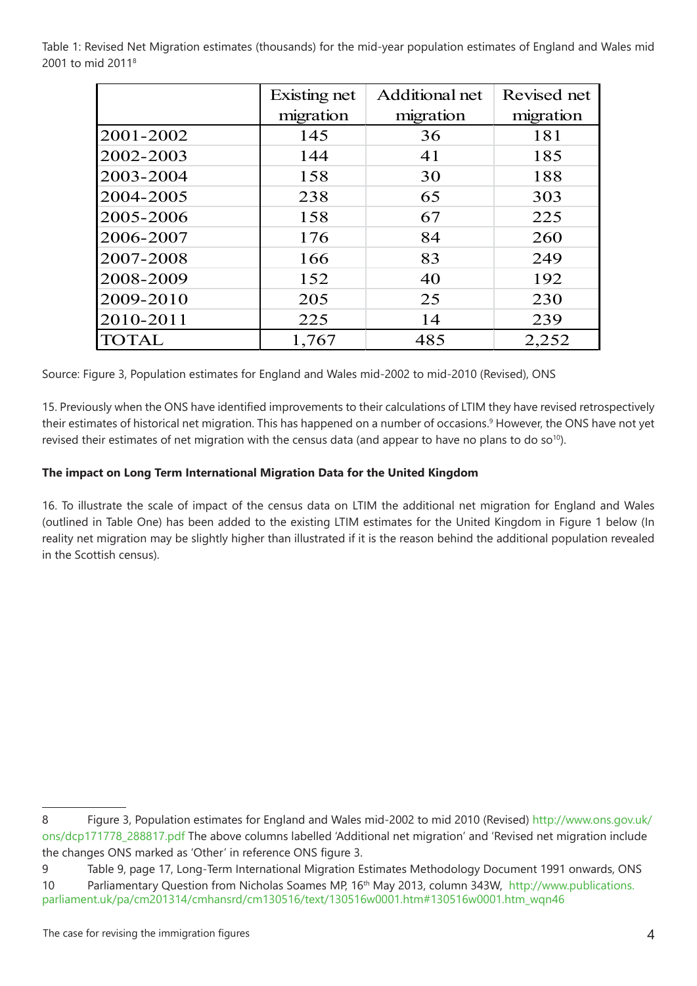|              | Existing net | Additional net | Revised net |
|--------------|--------------|----------------|-------------|
|              | migration    | migration      | migration   |
| 2001-2002    | 145          | 36             | 181         |
| 2002-2003    | 144          | 41             | 185         |
| 2003-2004    | 158          | 30             | 188         |
| 2004-2005    | 238          | 65             | 303         |
| 2005-2006    | 158          | 67             | 225         |
| 2006-2007    | 176          | 84             | 260         |
| 2007-2008    | 166          | 83             | 249         |
| 2008-2009    | 152          | 40             | 192         |
| 2009-2010    | 205          | 25             | 230         |
| 2010-2011    | 225          | 14             | 239         |
| <b>TOTAL</b> | 1,767        | 485            | 2,252       |

Table 1: Revised Net Migration estimates (thousands) for the mid-year population estimates of England and Wales mid 2001 to mid 20118

Source: Figure 3, Population estimates for England and Wales mid-2002 to mid-2010 (Revised), ONS

15. Previously when the ONS have identified improvements to their calculations of LTIM they have revised retrospectively their estimates of historical net migration. This has happened on a number of occasions.<sup>9</sup> However, the ONS have not yet revised their estimates of net migration with the census data (and appear to have no plans to do so<sup>10</sup>).

#### **The impact on Long Term International Migration Data for the United Kingdom**

16. To illustrate the scale of impact of the census data on LTIM the additional net migration for England and Wales (outlined in Table One) has been added to the existing LTIM estimates for the United Kingdom in Figure 1 below (In reality net migration may be slightly higher than illustrated if it is the reason behind the additional population revealed in the Scottish census).

<sup>8</sup> Figure 3, Population estimates for England and Wales mid-2002 to mid 2010 (Revised) http://www.ons.gov.uk/ ons/dcp171778\_288817.pdf The above columns labelled 'Additional net migration' and 'Revised net migration include the changes ONS marked as 'Other' in reference ONS figure 3.

<sup>9</sup> Table 9, page 17, Long-Term International Migration Estimates Methodology Document 1991 onwards, ONS 10 Parliamentary Question from Nicholas Soames MP, 16th May 2013, column 343W, http://www.publications. parliament.uk/pa/cm201314/cmhansrd/cm130516/text/130516w0001.htm#130516w0001.htm\_wqn46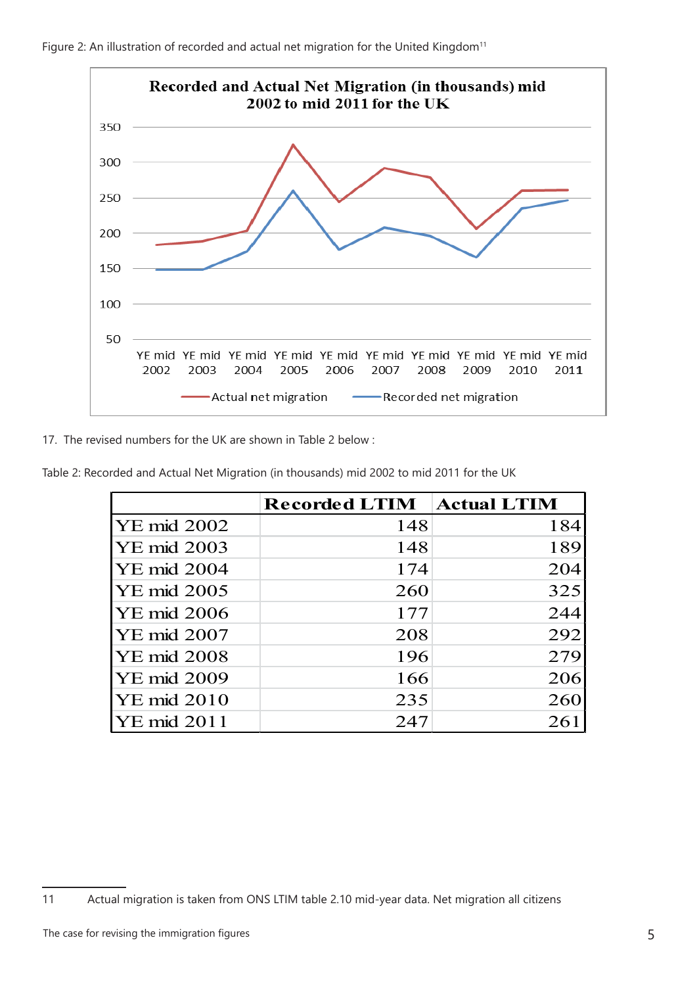



17. The revised numbers for the UK are shown in Table 2 below :

| Table 2: Recorded and Actual Net Migration (in thousands) mid 2002 to mid 2011 for the UK |  |  |
|-------------------------------------------------------------------------------------------|--|--|

|                    | <b>Recorded LTIM</b> | <b>Actual LTIM</b> |
|--------------------|----------------------|--------------------|
| <b>YE</b> mid 2002 | 148                  | 184                |
| <b>YE</b> mid 2003 | 148                  | 189                |
| <b>YE</b> mid 2004 | 174                  | 204                |
| <b>YE</b> mid 2005 | 260                  | 325                |
| <b>YE</b> mid 2006 | 177                  | 244                |
| <b>YE</b> mid 2007 | 208                  | 292                |
| <b>YE</b> mid 2008 | 196                  | 279                |
| <b>YE</b> mid 2009 | 166                  | 206                |
| <b>YE</b> mid 2010 | 235                  | 260                |
| <b>YE</b> mid 2011 | 247                  | 261                |

<sup>11</sup> Actual migration is taken from ONS LTIM table 2.10 mid-year data. Net migration all citizens